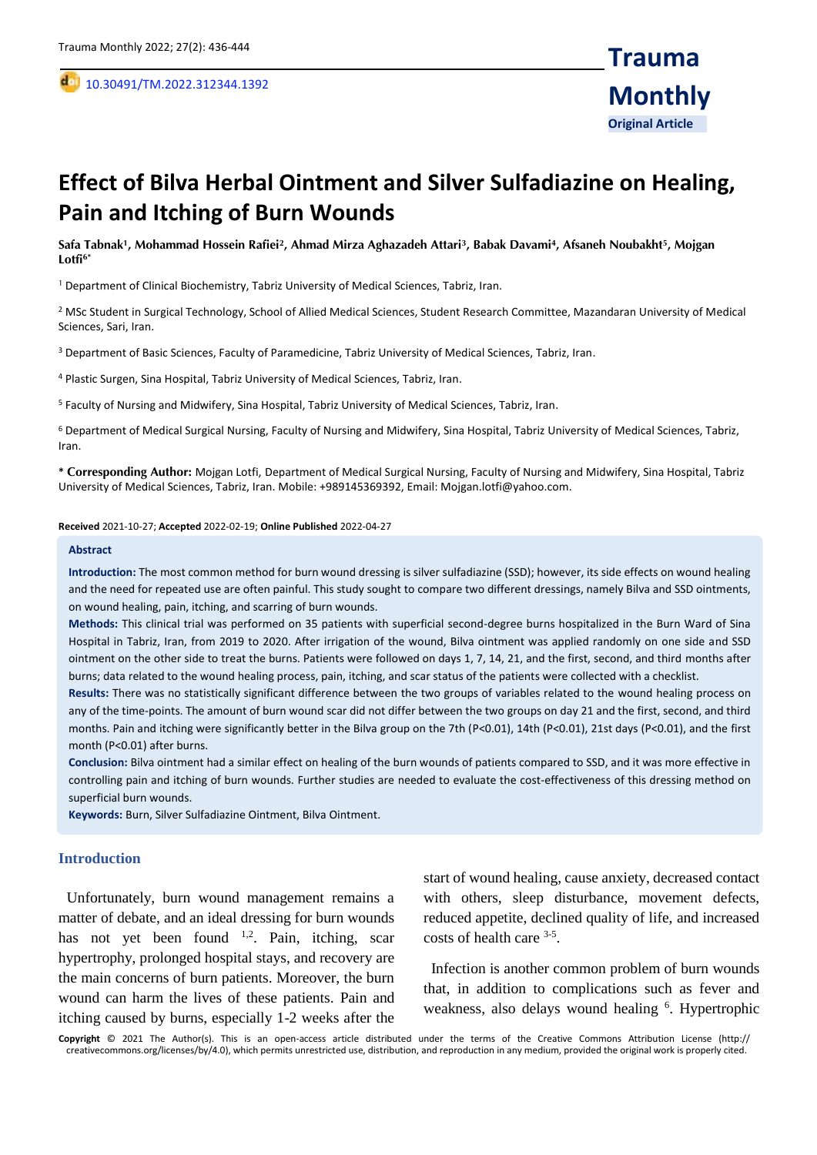,

# **Effect of Bilva Herbal Ointment and Silver Sulfadiazine on Healing, Pain and Itching of Burn Wounds**

**Safa Tabnak<sup>1</sup> , Mohammad Hossein Rafiei<sup>2</sup> , Ahmad Mirza Aghazadeh Attari<sup>3</sup> , Babak Davami<sup>4</sup> , Afsaneh Noubakht<sup>5</sup> , Mojgan Lotfi6\***

<sup>1</sup> Department of Clinical Biochemistry, Tabriz University of Medical Sciences, Tabriz, Iran.

<sup>2</sup> MSc Student in Surgical Technology, School of Allied Medical Sciences, Student Research Committee, Mazandaran University of Medical Sciences, Sari, Iran.

<sup>3</sup> Department of Basic Sciences, Faculty of Paramedicine, Tabriz University of Medical Sciences, Tabriz, Iran.

<sup>4</sup> Plastic Surgen, Sina Hospital, Tabriz University of Medical Sciences, Tabriz, Iran.

<sup>5</sup> Faculty of Nursing and Midwifery, Sina Hospital, Tabriz University of Medical Sciences, Tabriz, Iran.

<sup>6</sup> Department of Medical Surgical Nursing, Faculty of Nursing and Midwifery, Sina Hospital, Tabriz University of Medical Sciences, Tabriz, Iran.

**\* Corresponding Author:** Mojgan Lotfi, Department of Medical Surgical Nursing, Faculty of Nursing and Midwifery, Sina Hospital, Tabriz University of Medical Sciences, Tabriz, Iran. Mobile: +989145369392, Email: Mojgan.lotfi@yahoo.com.

**Received** 2021-10-27; **Accepted** 2022-02-19; **Online Published** 2022-04-27

#### **Abstract**

**Introduction:** The most common method for burn wound dressing is silver sulfadiazine (SSD); however, its side effects on wound healing and the need for repeated use are often painful. This study sought to compare two different dressings, namely Bilva and SSD ointments, on wound healing, pain, itching, and scarring of burn wounds.

**Methods:** This clinical trial was performed on 35 patients with superficial second-degree burns hospitalized in the Burn Ward of Sina Hospital in Tabriz, Iran, from 2019 to 2020. After irrigation of the wound, Bilva ointment was applied randomly on one side and SSD ointment on the other side to treat the burns. Patients were followed on days 1, 7, 14, 21, and the first, second, and third months after burns; data related to the wound healing process, pain, itching, and scar status of the patients were collected with a checklist.

**Results:** There was no statistically significant difference between the two groups of variables related to the wound healing process on any of the time-points. The amount of burn wound scar did not differ between the two groups on day 21 and the first, second, and third months. Pain and itching were significantly better in the Bilva group on the 7th (P<0.01), 14th (P<0.01), 21st days (P<0.01), and the first month (P<0.01) after burns.

**Conclusion:** Bilva ointment had a similar effect on healing of the burn wounds of patients compared to SSD, and it was more effective in controlling pain and itching of burn wounds. Further studies are needed to evaluate the cost-effectiveness of this dressing method on superficial burn wounds.

**Keywords:** Burn, Silver Sulfadiazine Ointment, Bilva Ointment.

## **Introduction**

 Unfortunately, burn wound management remains a matter of debate, and an ideal dressing for burn wounds has not yet been found <sup>1,2</sup>. Pain, itching, scar hypertrophy, prolonged hospital stays, and recovery are the main concerns of burn patients. Moreover, the burn wound can harm the lives of these patients. Pain and itching caused by burns, especially 1-2 weeks after the

start of wound healing, cause anxiety, decreased contact with others, sleep disturbance, movement defects, reduced appetite, declined quality of life, and increased costs of health care <sup>3-5</sup>.

 Infection is another common problem of burn wounds that, in addition to complications such as fever and weakness, also delays wound healing <sup>6</sup>. Hypertrophic

**Copyright** © 2021 The Author(s). This is an open-access article distributed under the terms of the Creative Commons Attribution License (http:// creativecommons.org/licenses/by/4.0), which permits unrestricted use, distribution, and reproduction in any medium, provided the original work is properly cited.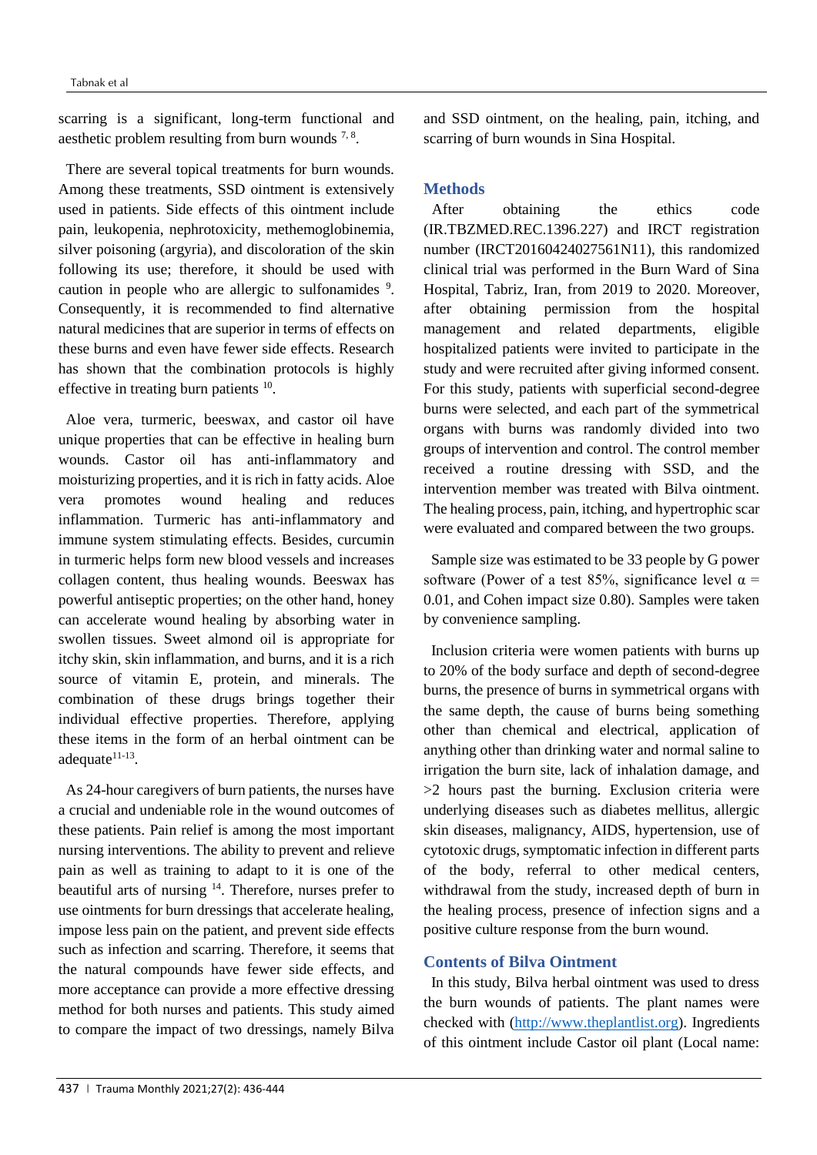scarring is a significant, long-term functional and aesthetic problem resulting from burn wounds  $7, 8$ .

 There are several topical treatments for burn wounds. Among these treatments, SSD ointment is extensively used in patients. Side effects of this ointment include pain, leukopenia, nephrotoxicity, methemoglobinemia, silver poisoning (argyria), and discoloration of the skin following its use; therefore, it should be used with caution in people who are allergic to sulfonamides <sup>9</sup>. Consequently, it is recommended to find alternative natural medicines that are superior in terms of effects on these burns and even have fewer side effects. Research has shown that the combination protocols is highly effective in treating burn patients  $10$ .

 Aloe vera, turmeric, beeswax, and castor oil have unique properties that can be effective in healing burn wounds. Castor oil has anti-inflammatory and moisturizing properties, and it is rich in fatty acids. Aloe vera promotes wound healing and reduces inflammation. Turmeric has anti-inflammatory and immune system stimulating effects. Besides, curcumin in turmeric helps form new blood vessels and increases collagen content, thus healing wounds. Beeswax has powerful antiseptic properties; on the other hand, honey can accelerate wound healing by absorbing water in swollen tissues. Sweet almond oil is appropriate for itchy skin, skin inflammation, and burns, and it is a rich source of vitamin E, protein, and minerals. The combination of these drugs brings together their individual effective properties. Therefore, applying these items in the form of an herbal ointment can be adequate $11-13$ .

 As 24-hour caregivers of burn patients, the nurses have a crucial and undeniable role in the wound outcomes of these patients. Pain relief is among the most important nursing interventions. The ability to prevent and relieve pain as well as training to adapt to it is one of the beautiful arts of nursing <sup>14</sup>. Therefore, nurses prefer to use ointments for burn dressings that accelerate healing, impose less pain on the patient, and prevent side effects such as infection and scarring. Therefore, it seems that the natural compounds have fewer side effects, and more acceptance can provide a more effective dressing method for both nurses and patients. This study aimed to compare the impact of two dressings, namely Bilva

and SSD ointment, on the healing, pain, itching, and scarring of burn wounds in Sina Hospital.

## **Methods**

 After obtaining the ethics code (IR.TBZMED.REC.1396.227) and IRCT registration number (IRCT20160424027561N11), this randomized clinical trial was performed in the Burn Ward of Sina Hospital, Tabriz, Iran, from 2019 to 2020. Moreover, after obtaining permission from the hospital management and related departments, eligible hospitalized patients were invited to participate in the study and were recruited after giving informed consent. For this study, patients with superficial second-degree burns were selected, and each part of the symmetrical organs with burns was randomly divided into two groups of intervention and control. The control member received a routine dressing with SSD, and the intervention member was treated with Bilva ointment. The healing process, pain, itching, and hypertrophic scar were evaluated and compared between the two groups.

 Sample size was estimated to be 33 people by G power software (Power of a test 85%, significance level  $\alpha$  = 0.01, and Cohen impact size 0.80). Samples were taken by convenience sampling.

 Inclusion criteria were women patients with burns up to 20% of the body surface and depth of second-degree burns, the presence of burns in symmetrical organs with the same depth, the cause of burns being something other than chemical and electrical, application of anything other than drinking water and normal saline to irrigation the burn site, lack of inhalation damage, and >2 hours past the burning. Exclusion criteria were underlying diseases such as diabetes mellitus, allergic skin diseases, malignancy, AIDS, hypertension, use of cytotoxic drugs, symptomatic infection in different parts of the body, referral to other medical centers, withdrawal from the study, increased depth of burn in the healing process, presence of infection signs and a positive culture response from the burn wound.

## **Contents of Bilva Ointment**

 In this study, Bilva herbal ointment was used to dress the burn wounds of patients. The plant names were checked with [\(http://www.theplantlist.org\)](http://www.theplantlist.org/). Ingredients of this ointment include Castor oil plant (Local name: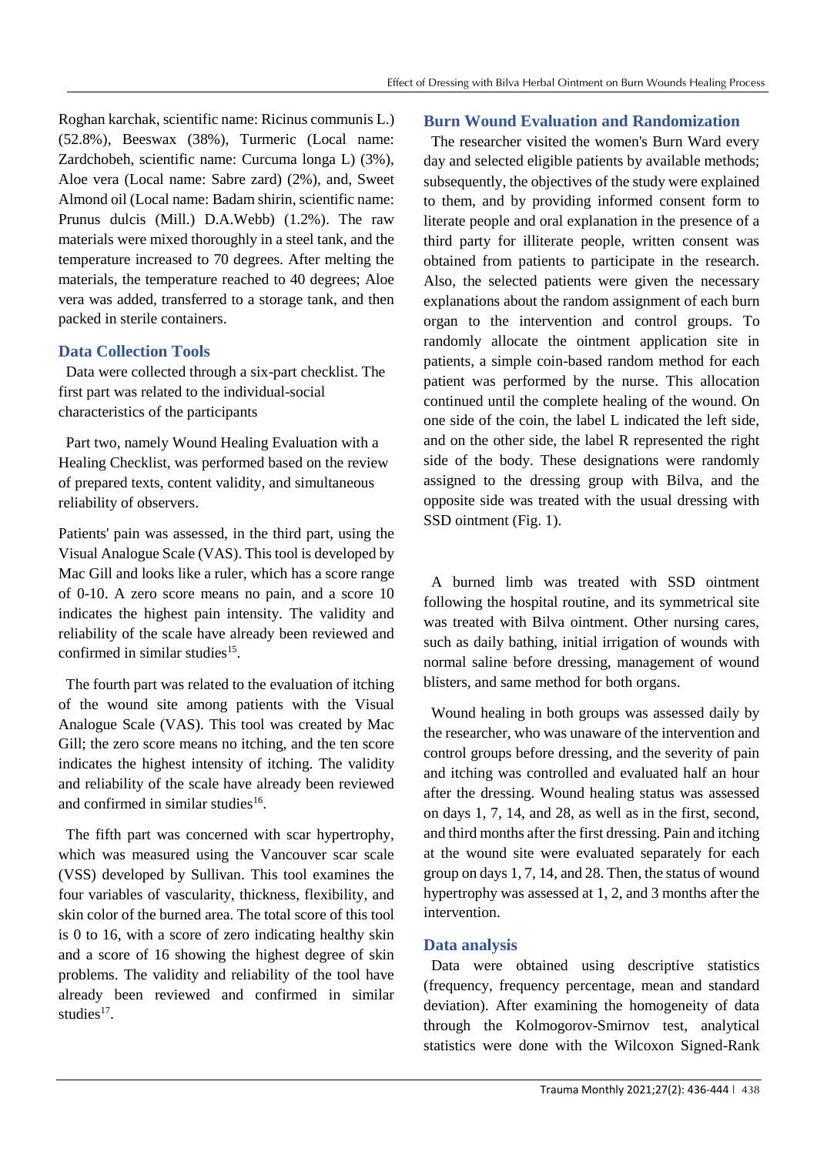Roghan karchak, scientific name: Ricinus communis L.) (52.8%), Beeswax (38%), Turmeric (Local name: Zardchobeh, scientific name: Curcuma longa L) (3%), Aloe vera (Local name: Sabre zard) (2%), and, Sweet Almond oil (Local name: Badam shirin, scientific name: Prunus dulcis (Mill.) D.A.Webb) (1.2%). The raw materials were mixed thoroughly in a steel tank, and the temperature increased to 70 degrees. After melting the materials, the temperature reached to 40 degrees; Aloe vera was added, transferred to a storage tank, and then packed in sterile containers.

# **Data Collection Tools**

 Data were collected through a six-part checklist. The first part was related to the individual-social characteristics of the participants

 Part two, namely Wound Healing Evaluation with a Healing Checklist, was performed based on the review of prepared texts, content validity, and simultaneous reliability of observers.

Patients' pain was assessed, in the third part, using the Visual Analogue Scale (VAS). This tool is developed by Mac Gill and looks like a ruler, which has a score range of 0-10. A zero score means no pain, and a score 10 indicates the highest pain intensity. The validity and reliability of the scale have already been reviewed and confirmed in similar studies $^{15}$ .

 The fourth part was related to the evaluation of itching of the wound site among patients with the Visual Analogue Scale (VAS). This tool was created by Mac Gill; the zero score means no itching, and the ten score indicates the highest intensity of itching. The validity and reliability of the scale have already been reviewed and confirmed in similar studies<sup>16</sup>.

 The fifth part was concerned with scar hypertrophy, which was measured using the Vancouver scar scale (VSS) developed by Sullivan. This tool examines the four variables of vascularity, thickness, flexibility, and skin color of the burned area. The total score of this tool is 0 to 16, with a score of zero indicating healthy skin and a score of 16 showing the highest degree of skin problems. The validity and reliability of the tool have already been reviewed and confirmed in similar studies $17$ .

## **Burn Wound Evaluation and Randomization**

 The researcher visited the women's Burn Ward every day and selected eligible patients by available methods; subsequently, the objectives of the study were explained to them, and by providing informed consent form to literate people and oral explanation in the presence of a third party for illiterate people, written consent was obtained from patients to participate in the research. Also, the selected patients were given the necessary explanations about the random assignment of each burn organ to the intervention and control groups. To randomly allocate the ointment application site in patients, a simple coin-based random method for each patient was performed by the nurse. This allocation continued until the complete healing of the wound. On one side of the coin, the label L indicated the left side, and on the other side, the label R represented the right side of the body. These designations were randomly assigned to the dressing group with Bilva, and the opposite side was treated with the usual dressing with SSD ointment (Fig. 1).

 A burned limb was treated with SSD ointment following the hospital routine, and its symmetrical site was treated with Bilva ointment. Other nursing cares, such as daily bathing, initial irrigation of wounds with normal saline before dressing, management of wound blisters, and same method for both organs.

 Wound healing in both groups was assessed daily by the researcher, who was unaware of the intervention and control groups before dressing, and the severity of pain and itching was controlled and evaluated half an hour after the dressing. Wound healing status was assessed on days 1, 7, 14, and 28, as well as in the first, second, and third months after the first dressing. Pain and itching at the wound site were evaluated separately for each group on days 1, 7, 14, and 28. Then, the status of wound hypertrophy was assessed at 1, 2, and 3 months after the intervention.

# **Data analysis**

 Data were obtained using descriptive statistics (frequency, frequency percentage, mean and standard deviation). After examining the homogeneity of data through the Kolmogorov-Smirnov test, analytical statistics were done with the Wilcoxon Signed-Rank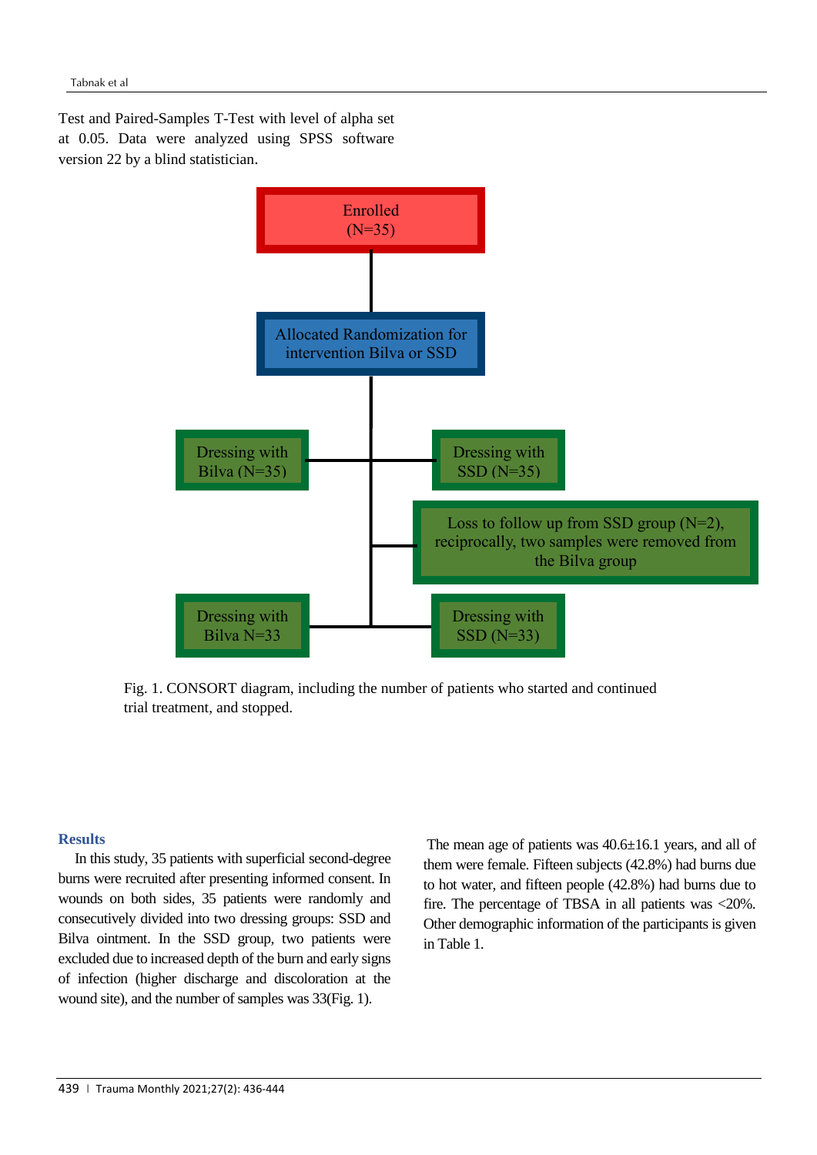Test and Paired-Samples T-Test with level of alpha set at 0.05. Data were analyzed using SPSS software version 22 by a blind statistician.



Fig. 1. CONSORT diagram, including the number of patients who started and continued trial treatment, and stopped.

# **Results**

 In this study, 35 patients with superficial second-degree burns were recruited after presenting informed consent. In wounds on both sides, 35 patients were randomly and consecutively divided into two dressing groups: SSD and Bilva ointment. In the SSD group, two patients were excluded due to increased depth of the burn and early signs of infection (higher discharge and discoloration at the wound site), and the number of samples was 33(Fig. 1).

The mean age of patients was 40.6±16.1 years, and all of them were female. Fifteen subjects (42.8%) had burns due to hot water, and fifteen people (42.8%) had burns due to fire. The percentage of TBSA in all patients was <20%. Other demographic information of the participants is given in Table 1.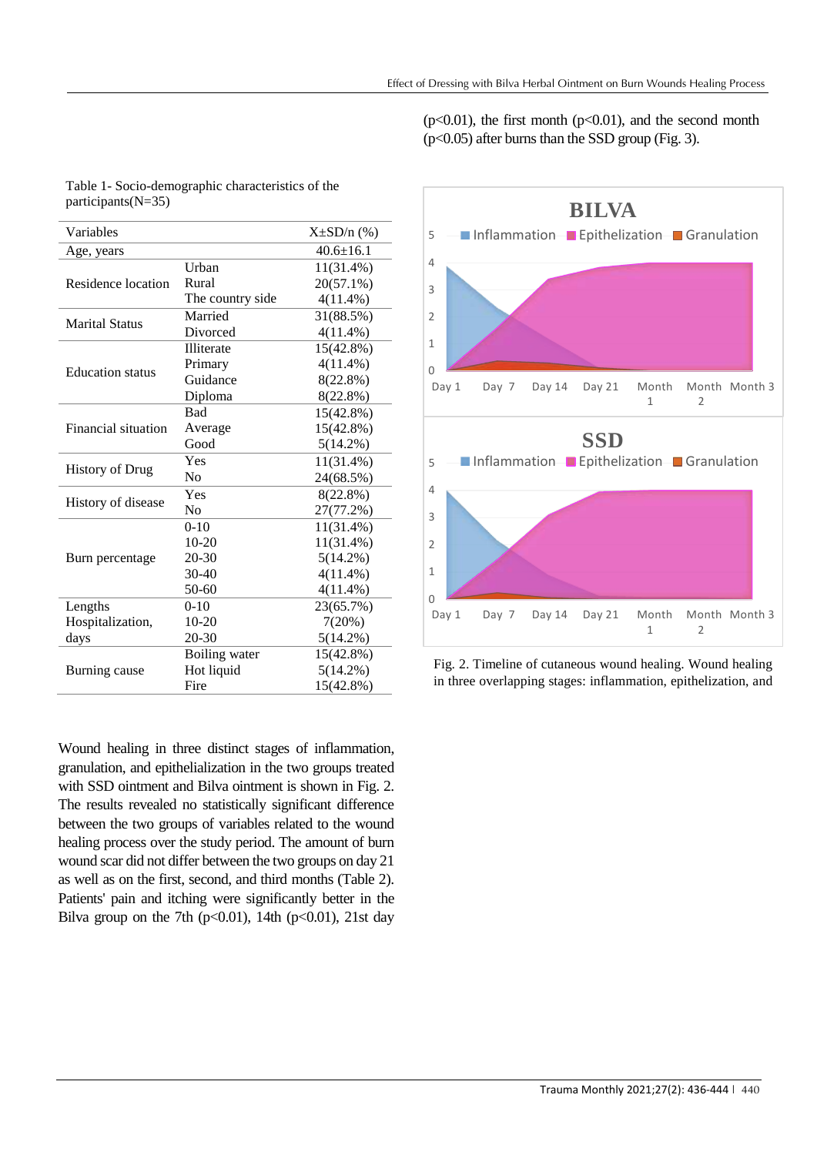$(p<0.01)$ , the first month  $(p<0.01)$ , and the second month (p<0.05) after burns than the SSD group (Fig. 3).

| Variables               |                  | $X\pm SD/n$ (%) |
|-------------------------|------------------|-----------------|
| Age, years              |                  | $40.6 \pm 16.1$ |
| Residence location      | Urban            | 11(31.4%)       |
|                         | Rural            | $20(57.1\%)$    |
|                         | The country side | $4(11.4\%)$     |
| <b>Marital Status</b>   | Married          | 31(88.5%)       |
|                         | Divorced         | 4(11.4%)        |
| <b>Education</b> status | Illiterate       | $15(42.8\%)$    |
|                         | Primary          | $4(11.4\%)$     |
|                         | Guidance         | 8(22.8%)        |
|                         | Diploma          | 8(22.8%)        |
| Financial situation     | Bad              | 15(42.8%)       |
|                         | Average          | 15(42.8%)       |
|                         | Good             | $5(14.2\%)$     |
| <b>History of Drug</b>  | Yes              | $11(31.4\%)$    |
|                         | N <sub>0</sub>   | 24(68.5%)       |
| History of disease      | Yes              | $8(22.8\%)$     |
|                         | No               | 27(77.2%)       |
| Burn percentage         | $0-10$           | 11(31.4%)       |
|                         | $10-20$          | $11(31.4\%)$    |
|                         | $20 - 30$        | $5(14.2\%)$     |
|                         | $30 - 40$        | $4(11.4\%)$     |
|                         | $50 - 60$        | $4(11.4\%)$     |
| Lengths                 | $0-10$           | 23(65.7%)       |
| Hospitalization,        | $10-20$          | 7(20%)          |
| days                    | 20-30            | 5(14.2%)        |
| Burning cause           | Boiling water    | 15(42.8%)       |
|                         | Hot liquid       | $5(14.2\%)$     |
|                         | Fire             | 15(42.8%)       |

Wound healing in three distinct stages of inflammation, granulation, and epithelialization in the two groups treated with SSD ointment and Bilva ointment is shown in Fig. 2. The results revealed no statistically significant difference between the two groups of variables related to the wound healing process over the study period. The amount of burn wound scar did not differ between the two groups on day 21 as well as on the first, second, and third months (Table 2). Patients' pain and itching were significantly better in the Bilva group on the 7th ( $p<0.01$ ), 14th ( $p<0.01$ ), 21st day



Fig. 2. Timeline of cutaneous wound healing. Wound healing in three overlapping stages: inflammation, epithelization, and

Table 1- Socio-demographic characteristics of the participants(N=35)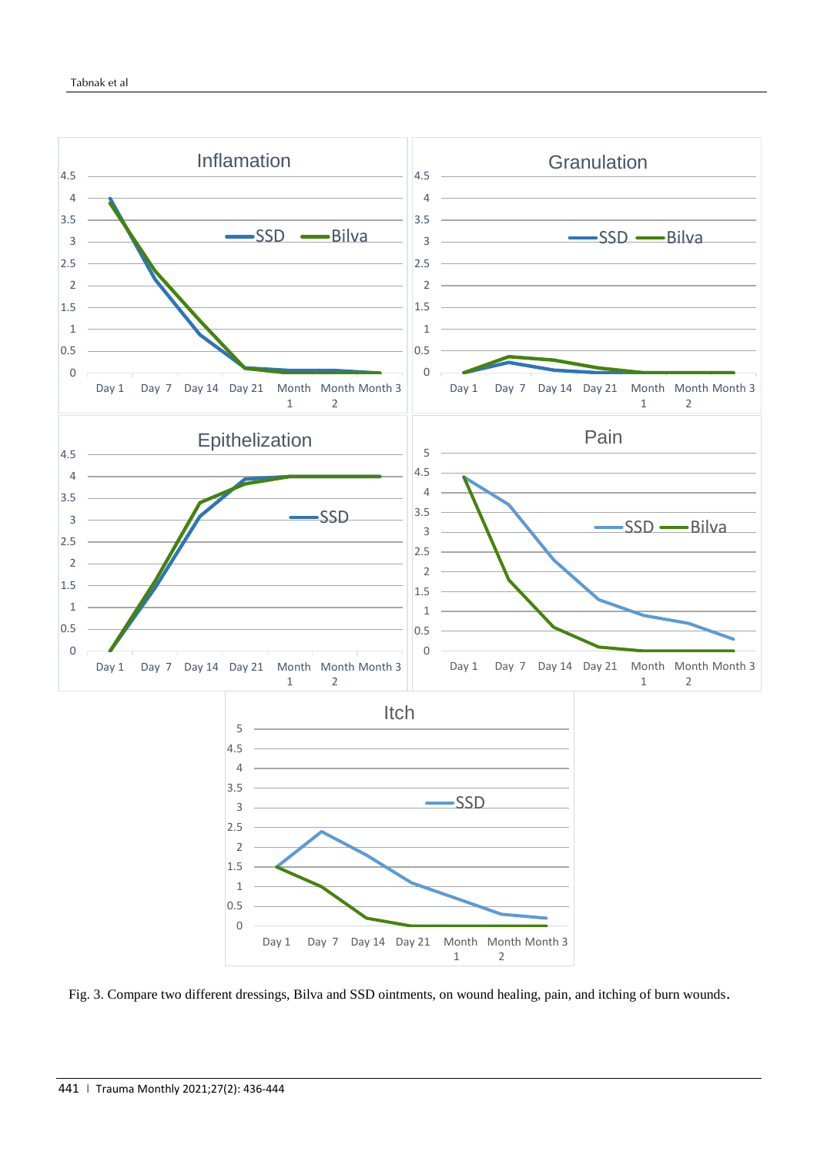

Fig. 3. Compare two different dressings, Bilva and SSD ointments, on wound healing, pain, and itching of burn wounds.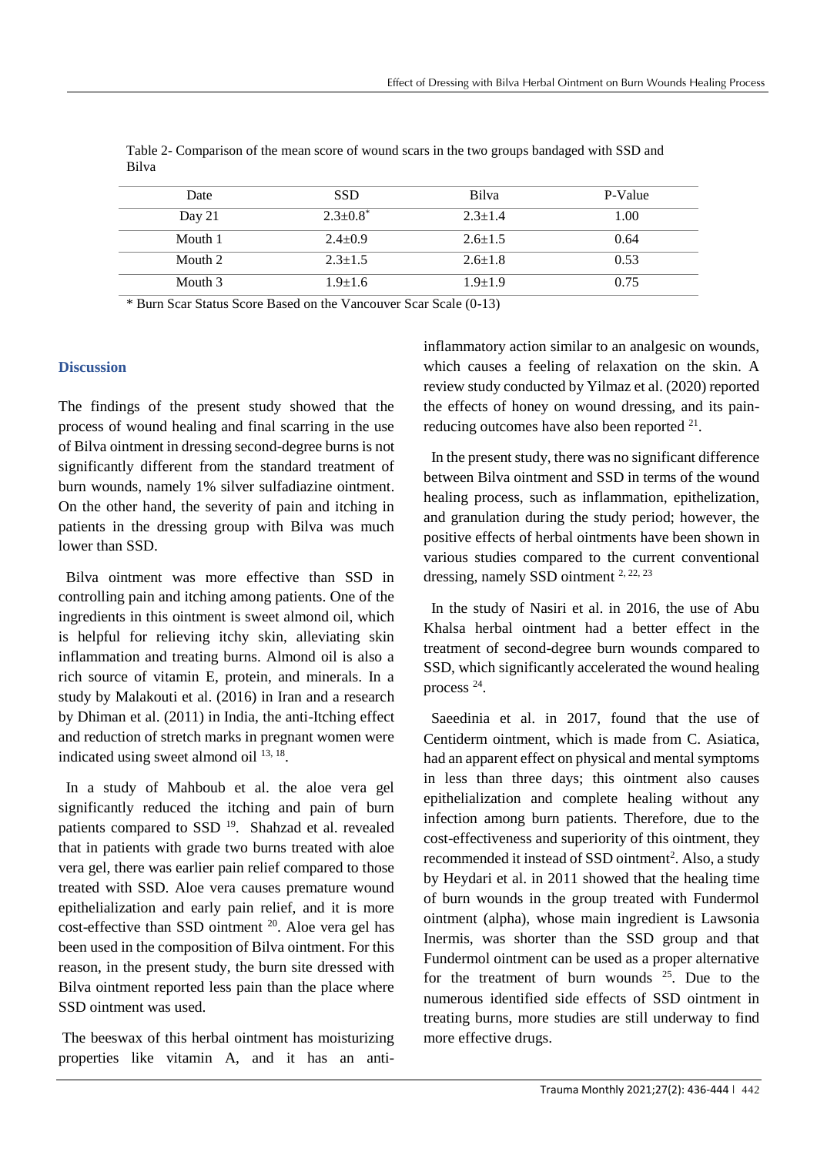| Date     | <b>SSD</b>    | Bilva         | P-Value |
|----------|---------------|---------------|---------|
| Day $21$ | $2.3+0.8^*$   | $2.3 + 1.4$   | 1.00    |
| Mouth 1  | $2.4 \pm 0.9$ | $2.6 \pm 1.5$ | 0.64    |
| Mouth 2  | $2.3 + 1.5$   | $2.6 \pm 1.8$ | 0.53    |
| Mouth 3  | $1.9 + 1.6$   | $1.9 + 1.9$   | 0.75    |

Table 2- Comparison of the mean score of wound scars in the two groups bandaged with SSD and Bilva

\* Burn Scar Status Score Based on the Vancouver Scar Scale (0-13)

# **Discussion**

The findings of the present study showed that the process of wound healing and final scarring in the use of Bilva ointment in dressing second-degree burns is not significantly different from the standard treatment of burn wounds, namely 1% silver sulfadiazine ointment. On the other hand, the severity of pain and itching in patients in the dressing group with Bilva was much lower than SSD.

 Bilva ointment was more effective than SSD in controlling pain and itching among patients. One of the ingredients in this ointment is sweet almond oil, which is helpful for relieving itchy skin, alleviating skin inflammation and treating burns. Almond oil is also a rich source of vitamin E, protein, and minerals. In a study by Malakouti et al. (2016) in Iran and a research by Dhiman et al. (2011) in India, the anti-Itching effect and reduction of stretch marks in pregnant women were indicated using sweet almond oil  $^{13, 18}$ .

 In a study of Mahboub et al. the aloe vera gel significantly reduced the itching and pain of burn patients compared to SSD <sup>19</sup>. Shahzad et al. revealed that in patients with grade two burns treated with aloe vera gel, there was earlier pain relief compared to those treated with SSD. Aloe vera causes premature wound epithelialization and early pain relief, and it is more cost-effective than SSD ointment  $20$ . Aloe vera gel has been used in the composition of Bilva ointment. For this reason, in the present study, the burn site dressed with Bilva ointment reported less pain than the place where SSD ointment was used.

The beeswax of this herbal ointment has moisturizing properties like vitamin A, and it has an antiinflammatory action similar to an analgesic on wounds, which causes a feeling of relaxation on the skin. A review study conducted by Yilmaz et al. (2020) reported the effects of honey on wound dressing, and its painreducing outcomes have also been reported  $2<sup>1</sup>$ .

 In the present study, there was no significant difference between Bilva ointment and SSD in terms of the wound healing process, such as inflammation, epithelization, and granulation during the study period; however, the positive effects of herbal ointments have been shown in various studies compared to the current conventional dressing, namely SSD ointment <sup>2, 22, 23</sup>

 In the study of Nasiri et al. in 2016, the use of Abu Khalsa herbal ointment had a better effect in the treatment of second-degree burn wounds compared to SSD, which significantly accelerated the wound healing process<sup>24</sup>.

 Saeedinia et al. in 2017, found that the use of Centiderm ointment, which is made from C. Asiatica, had an apparent effect on physical and mental symptoms in less than three days; this ointment also causes epithelialization and complete healing without any infection among burn patients. Therefore, due to the cost-effectiveness and superiority of this ointment, they recommended it instead of SSD ointment<sup>2</sup>. Also, a study by Heydari et al. in 2011 showed that the healing time of burn wounds in the group treated with Fundermol ointment (alpha), whose main ingredient is Lawsonia Inermis, was shorter than the SSD group and that Fundermol ointment can be used as a proper alternative for the treatment of burn wounds  $25$ . Due to the numerous identified side effects of SSD ointment in treating burns, more studies are still underway to find more effective drugs.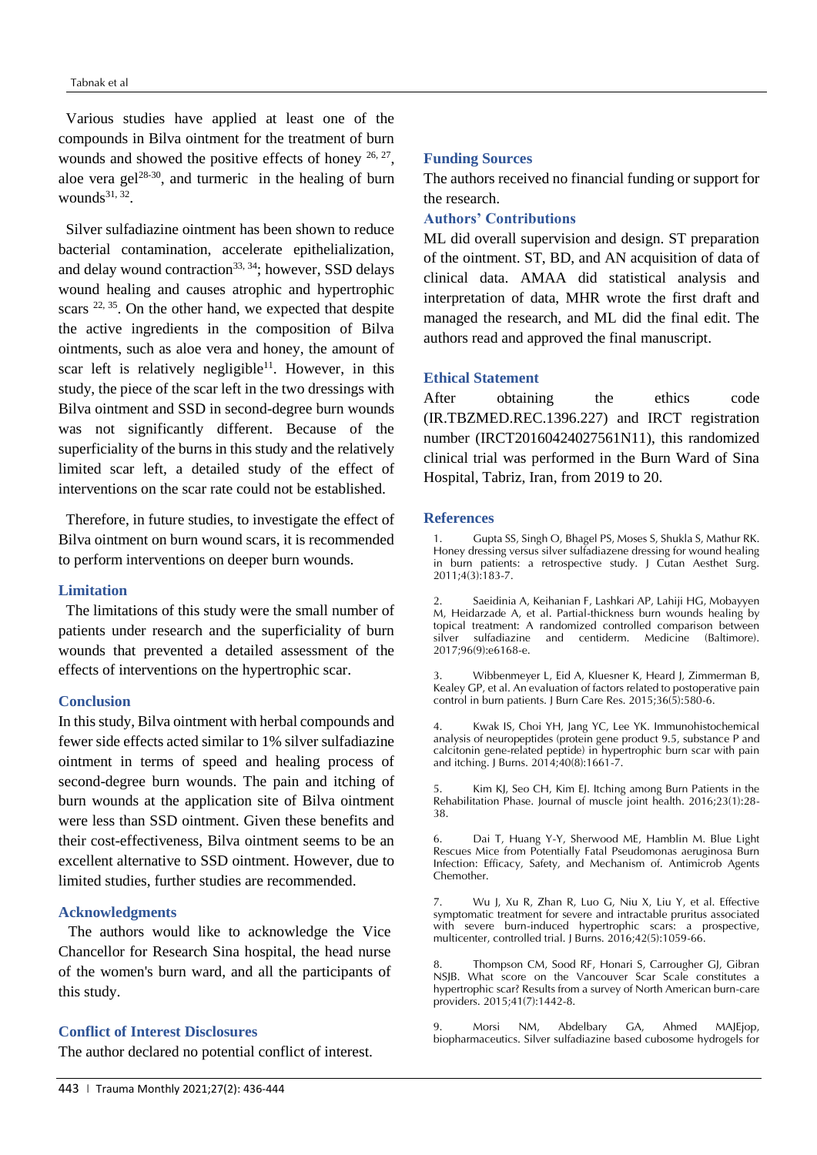Various studies have applied at least one of the compounds in Bilva ointment for the treatment of burn wounds and showed the positive effects of honey  $26, 27$ , aloe vera gel<sup>28-30</sup>, and turmeric in the healing of burn wounds $31, 32$ .

 Silver sulfadiazine ointment has been shown to reduce bacterial contamination, accelerate epithelialization, and delay wound contraction<sup>33, 34</sup>; however, SSD delays wound healing and causes atrophic and hypertrophic scars  $22, 35$ . On the other hand, we expected that despite the active ingredients in the composition of Bilva ointments, such as aloe vera and honey, the amount of scar left is relatively negligible<sup>11</sup>. However, in this study, the piece of the scar left in the two dressings with Bilva ointment and SSD in second-degree burn wounds was not significantly different. Because of the superficiality of the burns in this study and the relatively limited scar left, a detailed study of the effect of interventions on the scar rate could not be established.

 Therefore, in future studies, to investigate the effect of Bilva ointment on burn wound scars, it is recommended to perform interventions on deeper burn wounds.

## **Limitation**

 The limitations of this study were the small number of patients under research and the superficiality of burn wounds that prevented a detailed assessment of the effects of interventions on the hypertrophic scar.

#### **Conclusion**

In this study, Bilva ointment with herbal compounds and fewer side effects acted similar to 1% silver sulfadiazine ointment in terms of speed and healing process of second-degree burn wounds. The pain and itching of burn wounds at the application site of Bilva ointment were less than SSD ointment. Given these benefits and their cost-effectiveness, Bilva ointment seems to be an excellent alternative to SSD ointment. However, due to limited studies, further studies are recommended.

## **Acknowledgments**

The authors would like to acknowledge the Vice Chancellor for Research Sina hospital, the head nurse of the women's burn ward, and all the participants of this study.

#### **Conflict of Interest Disclosures**

The author declared no potential conflict of interest.

## **Funding Sources**

The authors received no financial funding or support for the research.

## **Authors' Contributions**

ML did overall supervision and design. ST preparation of the ointment. ST, BD, and AN acquisition of data of clinical data. AMAA did statistical analysis and interpretation of data, MHR wrote the first draft and managed the research, and ML did the final edit. The authors read and approved the final manuscript.

#### **Ethical Statement**

After obtaining the ethics code (IR.TBZMED.REC.1396.227) and IRCT registration number (IRCT20160424027561N11), this randomized clinical trial was performed in the Burn Ward of Sina Hospital, Tabriz, Iran, from 2019 to 20.

#### **References**

1. Gupta SS, Singh O, Bhagel PS, Moses S, Shukla S, Mathur RK. Honey dressing versus silver sulfadiazene dressing for wound healing in burn patients: a retrospective study. J Cutan Aesthet Surg. 2011;4(3):183-7.

2. Saeidinia A, Keihanian F, Lashkari AP, Lahiji HG, Mobayyen M, Heidarzade A, et al. Partial-thickness burn wounds healing by topical treatment: A randomized controlled comparison between<br>silver sulfadiazine and centiderm. Medicine (Baltimore). silver sulfadiazine and centiderm. Medicine 2017;96(9):e6168-e.

3. Wibbenmeyer L, Eid A, Kluesner K, Heard J, Zimmerman B, Kealey GP, et al. An evaluation of factors related to postoperative pain control in burn patients. J Burn Care Res. 2015;36(5):580-6.

Kwak IS, Choi YH, Jang YC, Lee YK. Immunohistochemical analysis of neuropeptides (protein gene product 9.5, substance P and calcitonin gene-related peptide) in hypertrophic burn scar with pain and itching. J Burns. 2014;40(8):1661-7.

Kim KJ, Seo CH, Kim EJ. Itching among Burn Patients in the Rehabilitation Phase. Journal of muscle joint health. 2016;23(1):28- 38.

6. Dai T, Huang Y-Y, Sherwood ME, Hamblin M. Blue Light Rescues Mice from Potentially Fatal Pseudomonas aeruginosa Burn Infection: Efficacy, Safety, and Mechanism of. Antimicrob Agents Chemother.

7. Wu J, Xu R, Zhan R, Luo G, Niu X, Liu Y, et al. Effective symptomatic treatment for severe and intractable pruritus associated with severe burn-induced hypertrophic scars: a prospective, multicenter, controlled trial. J Burns. 2016;42(5):1059-66.

8. Thompson CM, Sood RF, Honari S, Carrougher GJ, Gibran NSJB. What score on the Vancouver Scar Scale constitutes a hypertrophic scar? Results from a survey of North American burn-care providers. 2015;41(7):1442-8.

9. Morsi NM, Abdelbary GA, Ahmed MAJEjop, biopharmaceutics. Silver sulfadiazine based cubosome hydrogels for